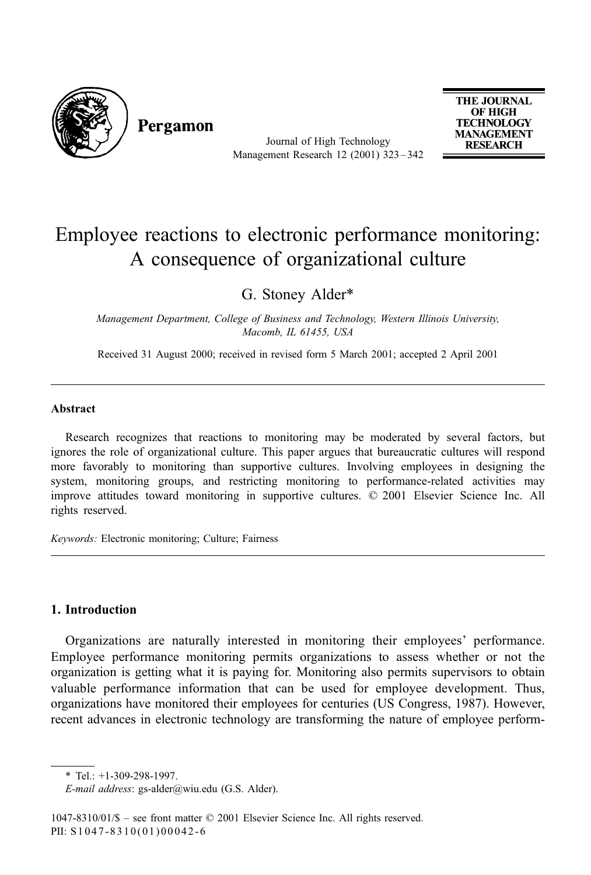

Pergamon

Journal of High Technology Management Research 12 (2001) 323 – 342

**THE JOURNAL** OF HIGH **TECHNOLOGY MANAGEMENT RESEARCH** 

## Employee reactions to electronic performance monitoring: A consequence of organizational culture

G. Stoney Alder\*

Management Department, College of Business and Technology, Western Illinois University, Macomb, IL 61455, USA

Received 31 August 2000; received in revised form 5 March 2001; accepted 2 April 2001

## Abstract

Research recognizes that reactions to monitoring may be moderated by several factors, but ignores the role of organizational culture. This paper argues that bureaucratic cultures will respond more favorably to monitoring than supportive cultures. Involving employees in designing the system, monitoring groups, and restricting monitoring to performance-related activities may improve attitudes toward monitoring in supportive cultures. © 2001 Elsevier Science Inc. All rights reserved.

Keywords: Electronic monitoring; Culture; Fairness

## 1. Introduction

Organizations are naturally interested in monitoring their employees' performance. Employee performance monitoring permits organizations to assess whether or not the organization is getting what it is paying for. Monitoring also permits supervisors to obtain valuable performance information that can be used for employee development. Thus, organizations have monitored their employees for centuries (US Congress, 1987). However, recent advances in electronic technology are transforming the nature of employee perform-

 $*$  Tel.: +1-309-298-1997.

E-mail address: gs-alder@wiu.edu (G.S. Alder).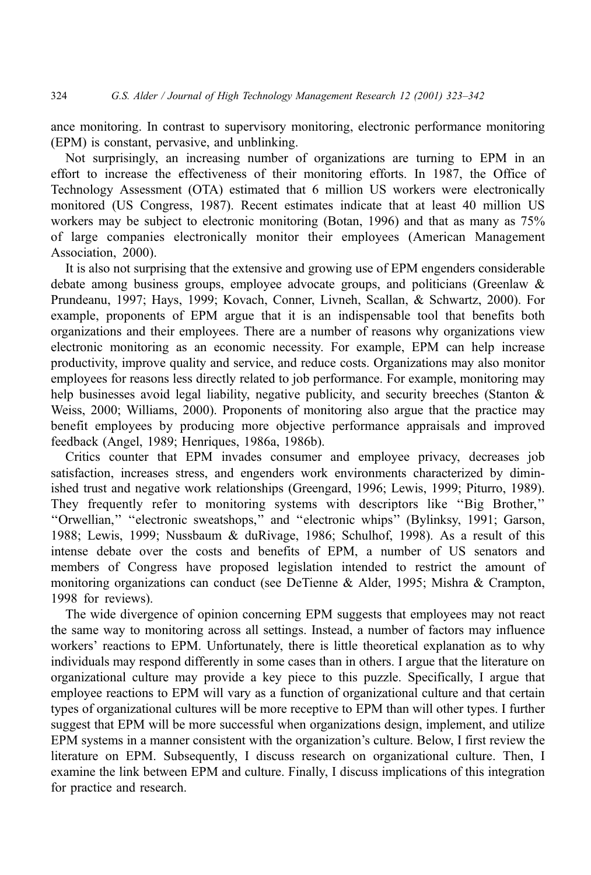ance monitoring. In contrast to supervisory monitoring, electronic performance monitoring (EPM) is constant, pervasive, and unblinking.

Not surprisingly, an increasing number of organizations are turning to EPM in an effort to increase the effectiveness of their monitoring efforts. In 1987, the Office of Technology Assessment (OTA) estimated that 6 million US workers were electronically monitored (US Congress, 1987). Recent estimates indicate that at least 40 million US workers may be subject to electronic monitoring (Botan, 1996) and that as many as 75% of large companies electronically monitor their employees (American Management Association, 2000).

It is also not surprising that the extensive and growing use of EPM engenders considerable debate among business groups, employee advocate groups, and politicians (Greenlaw & Prundeanu, 1997; Hays, 1999; Kovach, Conner, Livneh, Scallan, & Schwartz, 2000). For example, proponents of EPM argue that it is an indispensable tool that benefits both organizations and their employees. There are a number of reasons why organizations view electronic monitoring as an economic necessity. For example, EPM can help increase productivity, improve quality and service, and reduce costs. Organizations may also monitor employees for reasons less directly related to job performance. For example, monitoring may help businesses avoid legal liability, negative publicity, and security breeches (Stanton & Weiss, 2000; Williams, 2000). Proponents of monitoring also argue that the practice may benefit employees by producing more objective performance appraisals and improved feedback (Angel, 1989; Henriques, 1986a, 1986b).

Critics counter that EPM invades consumer and employee privacy, decreases job satisfaction, increases stress, and engenders work environments characterized by diminished trust and negative work relationships (Greengard, 1996; Lewis, 1999; Piturro, 1989). They frequently refer to monitoring systems with descriptors like ''Big Brother,'' ''Orwellian,'' ''electronic sweatshops,'' and ''electronic whips'' (Bylinksy, 1991; Garson, 1988; Lewis, 1999; Nussbaum & duRivage, 1986; Schulhof, 1998). As a result of this intense debate over the costs and benefits of EPM, a number of US senators and members of Congress have proposed legislation intended to restrict the amount of monitoring organizations can conduct (see DeTienne & Alder, 1995; Mishra & Crampton, 1998 for reviews).

The wide divergence of opinion concerning EPM suggests that employees may not react the same way to monitoring across all settings. Instead, a number of factors may influence workers' reactions to EPM. Unfortunately, there is little theoretical explanation as to why individuals may respond differently in some cases than in others. I argue that the literature on organizational culture may provide a key piece to this puzzle. Specifically, I argue that employee reactions to EPM will vary as a function of organizational culture and that certain types of organizational cultures will be more receptive to EPM than will other types. I further suggest that EPM will be more successful when organizations design, implement, and utilize EPM systems in a manner consistent with the organization's culture. Below, I first review the literature on EPM. Subsequently, I discuss research on organizational culture. Then, I examine the link between EPM and culture. Finally, I discuss implications of this integration for practice and research.